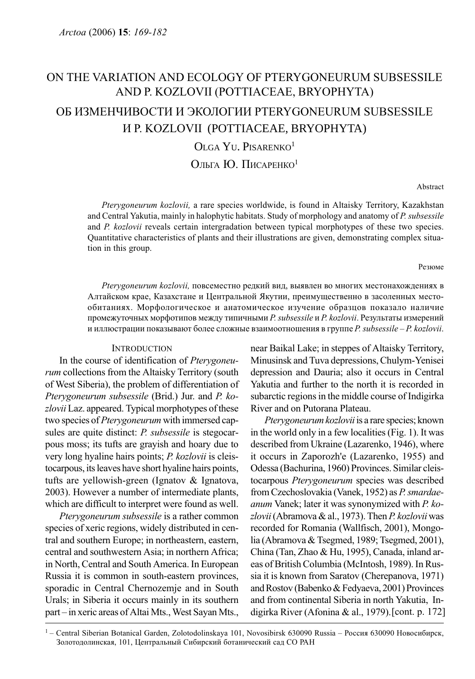# ON THE VARIATION AND ECOLOGY OF PTERYGONEURUM SUBSESSILE AND P. KOZLOVII (POTTIACEAE, BRYOPHYTA)

## ОБ ИЗМЕНЧИВОСТИ И ЭКОЛОГИИ PTERYGONEURUM SUBSESSILE И P. KOZLOVII (POTTIACEAE, BRYOPHYTA)

## OLGA YU. PISARENKO1

### Ольга Ю. Писаренко<sup>1</sup>

#### Abstract

Pterygoneurum kozlovii, a rare species worldwide, is found in Altaisky Territory, Kazakhstan and Central Yakutia, mainly in halophytic habitats. Study of morphology and anatomy of P. subsessile and P. kozlovii reveals certain intergradation between typical morphotypes of these two species. Quantitative characteristics of plants and their illustrations are given, demonstrating complex situation in this group.

#### Резюме

Pterygoneurum kozlovii, повсеместно редкий вид, выявлен во многих местонахождениях в Алтайском крае, Казахстане и Центральной Якутии, преимущественно в засоленных местообитаниях. Морфологическое и анатомическое изучение образцов показало наличие промежуточных морфотипов между типичными P. subsessile и P. kozlovii. Результаты измерений и иллюстрации показывают более сложные взаимоотношения в группе P. subsessile - P. kozlovii.

#### **INTRODUCTION**

In the course of identification of Pterygoneurum collections from the Altaisky Territory (south of West Siberia), the problem of differentiation of Pterygoneurum subsessile (Brid.) Jur. and P. kozlovii Laz. appeared. Typical morphotypes of these two species of Pterygoneurum with immersed capsules are quite distinct: *P. subsessile* is stegocarpous moss; its tufts are grayish and hoary due to very long hyaline hairs points; P. kozlovii is cleistocarpous, its leaves have short hyaline hairs points, tufts are yellowish-green (Ignatov & Ignatova, 2003). However a number of intermediate plants, which are difficult to interpret were found as well.

Pterygoneurum subsessile is a rather common species of xeric regions, widely distributed in central and southern Europe; in northeastern, eastern, central and southwestern Asia; in northern Africa; in North, Central and South America. In European Russia it is common in south-eastern provinces, sporadic in Central Chernozemje and in South Urals; in Siberia it occurs mainly in its southern part – in xeric areas of Altai Mts., West Sayan Mts.,

near Baikal Lake; in steppes of Altaisky Territory, Minusinsk and Tuva depressions, Chulym-Yenisei depression and Dauria; also it occurs in Central Yakutia and further to the north it is recorded in subarctic regions in the middle course of Indigirka River and on Putorana Plateau.

Pterygoneurum kozlovii is a rare species; known in the world only in a few localities (Fig. 1). It was described from Ukraine (Lazarenko, 1946), where it occurs in Zaporozh'e (Lazarenko, 1955) and Odessa (Bachurina, 1960) Provinces. Similar cleistocarpous Pterygoneurum species was described from Czechoslovakia (Vanek, 1952) as P. smardaeanum Vanek; later it was synonymized with P. kozlovii (Abramova & al., 1973). Then P. kozlovii was recorded for Romania (Wallfisch, 2001), Mongolia (Abramova & Tsegmed, 1989; Tsegmed, 2001), China (Tan, Zhao & Hu, 1995), Canada, inland areas of British Columbia (McIntosh, 1989). In Russia it is known from Saratov (Cherepanova, 1971) and Rostov (Babenko & Fedyaeva, 2001) Provinces and from continental Siberia in north Yakutia, Indigirka River (Afonina & al., 1979).[cont. p. 172]

<sup>1</sup>– Central Siberian Botanical Garden, Zolotodolinskaya 101, Novosibirsk 630090 Russia – Россия 630090 Новосибирск, Золотодолинская, 101, Центральный Сибирский ботанический сад СО РАН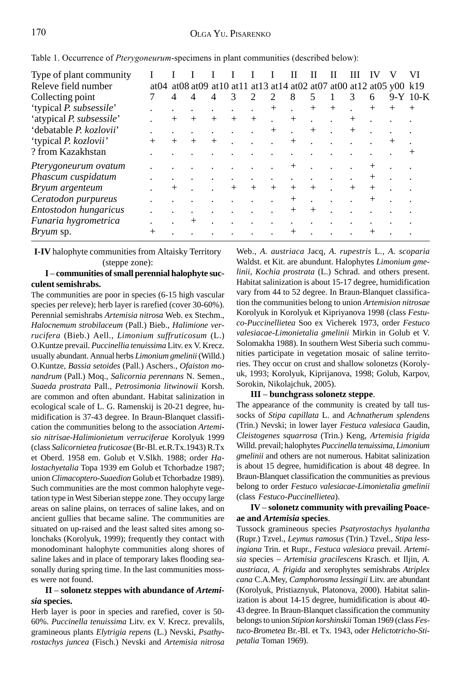| Type of plant community  |                                                                                   |        |        |        |        |           |        |        |        |        |        |        |        |        |
|--------------------------|-----------------------------------------------------------------------------------|--------|--------|--------|--------|-----------|--------|--------|--------|--------|--------|--------|--------|--------|
| Releve field number      | at 04 at 08 at 09 at 10 at 11 at 13 at 14 at 02 at 07 at 00 at 12 at 05 y 00 k 19 |        |        |        |        |           |        |        |        |        |        |        |        |        |
| Collecting point         |                                                                                   | 4      | 4      | 4      | 3      |           | 2      |        |        |        | 3      | 6      | $9-Y$  | $10-K$ |
| 'typical P. subsessile'  |                                                                                   |        |        |        |        | $\cdot$   | $^{+}$ |        | $+$    | $^{+}$ |        | $+$    |        | $^{+}$ |
| 'atypical P. subsessile' |                                                                                   | $^{+}$ | $^{+}$ | $^{+}$ | $^{+}$ | $^{+}$    |        | $^{+}$ |        |        | $^{+}$ |        |        |        |
| 'debatable P. kozlovii'  |                                                                                   |        |        |        |        |           | $^{+}$ |        | $^{+}$ |        | $^{+}$ |        |        |        |
| 'typical P. kozlovii'    |                                                                                   | $^{+}$ | $^{+}$ | $^{+}$ |        |           |        | $^{+}$ |        |        |        |        | $^{+}$ |        |
| ? from Kazakhstan        |                                                                                   |        |        |        |        |           |        |        |        |        |        |        |        |        |
| Pterygoneurum ovatum     |                                                                                   |        |        |        |        |           |        | $^{+}$ |        |        |        |        |        |        |
| Phascum cuspidatum       |                                                                                   |        |        |        |        | $\bullet$ |        |        |        |        |        |        |        |        |
| Bryum argenteum          |                                                                                   | $^{+}$ |        |        | $^{+}$ | $+$       | $^{+}$ | $^{+}$ | $^{+}$ |        | $^{+}$ | $^{+}$ |        |        |
| Ceratodon purpureus      |                                                                                   |        |        |        |        |           |        | $^{+}$ |        |        |        | $^{+}$ |        |        |
| Entostodon hungaricus    |                                                                                   |        |        |        |        | $\bullet$ |        | $^{+}$ | $^{+}$ |        |        |        |        |        |
| Funaria hygrometrica     |                                                                                   |        | $^{+}$ |        |        | $\cdot$   |        |        |        |        |        |        |        |        |
| <i>Bryum</i> sp.         | $^+$                                                                              |        |        |        |        |           |        |        |        |        |        |        |        |        |

Table 1. Occurrence of *Pterygoneurum*-specimens in plant communities (described below):

**I-IV** halophyte communities from Altaisky Territory (steppe zone):

#### **I** – **communities of small perennial halophyte succulent semishrabs.**

The communities are poor in species (6-15 high vascular species per releve); herb layer is rarefied (cover 30-60%). Perennial semishrabs *Artemisia nitrosa* Web. ex Stechm., *Halocnemum strobilaceum* (Pall.) Bieb., *Halimione verrucifera* (Bieb.) Aell., *Limonium suffruticosum* (L.) O.Kuntze prevail. *Puccinellia tenuissima* Litv. ex V. Krecz. usually abundant. Annual herbs *Limonium gmelinii* (Willd.) O.Kuntze, *Bassia setoides* (Pall.) Aschers., *Ofaiston monandrum* (Pall.) Moq., *Salicornia perennans* N. Semen., *Suaeda prostrata* Pall., *Petrosimonia litwinowii* Korsh. are common and often abundant. Habitat salinization in ecological scale of L. G. Ramenskij is 20-21 degree, humidification is 37-43 degree. In Braun-Blanquet classification the communities belong to the association *Artemisio nitrisae-Halimionietum verruciferae* Korolyuk 1999 (class *Salicornietea fruticosae* (Br-Bl. et.R.Tx.1943) R.Tx et Oberd. 1958 em. Golub et V.Slkh. 1988; order *Halostachyetalia* Topa 1939 em Golub et Tchorbadze 1987; union *Climacoptero-Suaedion* Golub et Tchorbadze 1989). Such communities are the most common halophyte vegetation type in West Siberian steppe zone. They occupy large areas on saline plains, on terraces of saline lakes, and on ancient gullies that became saline. The communities are situated on up-raised and the least salted sites among solonchaks (Korolyuk, 1999); frequently they contact with monodominant halophyte communities along shores of saline lakes and in place of temporary lakes flooding seasonally during spring time. In the last communities mosses were not found.

#### **II** – **solonetz steppes with abundance of** *Artemisia* **species.**

Herb layer is poor in species and rarefied, cover is 50- 60%. *Puccinella tenuissima* Litv. ex V. Krecz. prevalils, gramineous plants *Elytrigia repens* (L.) Nevski, *Psathyrostachys juncea* (Fisch.) Nevski and *Artemisia nitrosa*

Web., *A. austriaca* Jacq, *A. rupestris* L., *A. scoparia* Waldst. et Kit. are abundunt. Halophytes *Limonium gmelinii*, *Kochia prostrata* (L.) Schrad. and others present. Habitat salinization is about 15-17 degree, humidification vary from 44 to 52 degree. In Braun-Blanquet classification the communities belong to union *Artemision nitrosae* Korolyuk in Korolyuk et Kipriyanova 1998 (class *Festuco-Puccinellietea* Soo ex Vicherek 1973, order *Festuco valesiacae-Limonietalia gmelinii* Mirkin in Golub et V. Solomakha 1988). In southern West Siberia such communities participate in vegetation mosaic of saline territories. They occur on crust and shallow solonetzs (Korolyuk, 1993; Korolyuk, Kiprijanova, 1998; Golub, Karpov, Sorokin, Nikolajchuk, 2005).

#### **III** – **bunchgrass solonetz steppe**.

The appearance of the community is created by tall tussocks of *Stipa capillata* L. and *Achnatherum splendens* (Trin.) Nevski; in lower layer *Festuca valesiaca* Gaudin, *Cleistogenes squarrosa* (Trin.) Keng, *Artemisia frigida* Willd. prevail; halophytes *Puccinella tenuissima*, *Limonium gmelinii* and others are not numerous. Habitat salinization is about 15 degree, humidification is about 48 degree. In Braun-Blanquet classification the communities as previous belong to order *Festuco valesiacae-Limonietalia gmelinii* (class *Festuco-Puccinellietea*).

#### **IV** – **solonetz community with prevailing Poaceae and** *Artemisia* **species**.

Tussock gramineous species *Psatyrostachys hyalantha* (Rupr.) Tzvel., *Leymus ramosus* (Trin.) Tzvel., *Stipa lessingiana* Trin. et Rupr., *Festuca valesiaca* prevail. *Artemisia* species – *Artemisia gracilescens* Krasch. et Iljin, *A. austriaca*, *A. frigida* and xerophytes semishrabs *Atriplex cana* C.A.Mey, *Camphorosma lessingii* Litv. are abundant (Korolyuk, Pristiaznyuk, Platonova, 2000). Habitat salinization is about 14-15 degree, humidification is about 40- 43 degree. In Braun-Blanquet classification the community belongs to union *Stipion korshinskii* Toman 1969 (class *Festuco-Brometea* Br.-Bl. et Tx. 1943, oder *Helictotricho-Stipetalia* Toman 1969).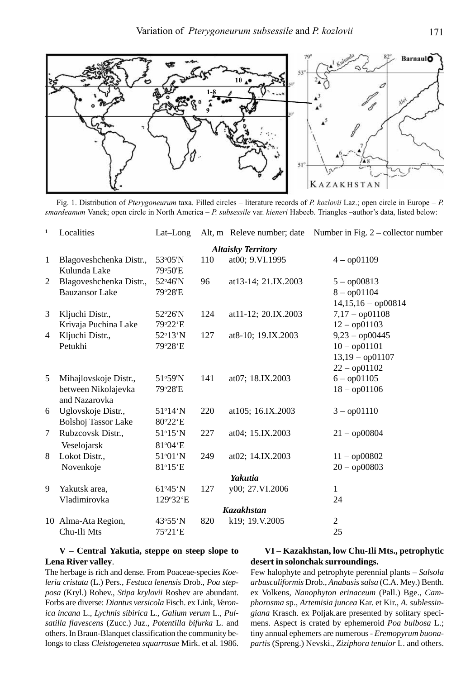

Fig. 1. Distribution of Pterygoneurum taxa. Filled circles – literature records of P. kozlovii Laz.; open circle in Europe – P. smardeanum Vanek; open circle in North America - P. subsessile var. kieneri Habeeb. Triangles -author's data, listed below:

| 1            | Localities                           | $Lat$ -Long             |     | Alt, m Releve number; date | Number in Fig. $2$ – collector number |  |  |
|--------------|--------------------------------------|-------------------------|-----|----------------------------|---------------------------------------|--|--|
|              |                                      |                         |     | <b>Altaisky Territory</b>  |                                       |  |  |
| $\mathbf{1}$ | Blagoveshchenka Distr.,              | 53°05'N                 | 110 | at00; 9.VI.1995            | $4 - op01109$                         |  |  |
|              | Kulunda Lake                         | 79°50'E                 |     |                            |                                       |  |  |
| 2            | Blagoveshchenka Distr.,              | $52^{\circ}46'$ N       | 96  | at13-14; 21.IX.2003        | $5 - op00813$                         |  |  |
|              | <b>Bauzansor</b> Lake                | 79°28'E                 |     |                            | $8 - op01104$                         |  |  |
|              |                                      |                         |     |                            | $14,15,16 - op00814$                  |  |  |
| 3            | Kljuchi Distr.,                      | 52°26'N                 | 124 | at11-12; 20.IX.2003        | $7,17 - op01108$                      |  |  |
|              | Krivaja Puchina Lake                 | 79°22'E                 |     |                            | $12 - op01103$                        |  |  |
| 4            | Kljuchi Distr.,                      | $52^{\circ}13^{\circ}N$ | 127 | at 8-10; 19.IX.2003        | $9,23 - op00445$                      |  |  |
|              | Petukhi                              | 79°28'E                 |     |                            | $10 - op01101$                        |  |  |
|              |                                      |                         |     |                            | $13,19 - op01107$                     |  |  |
|              |                                      |                         |     |                            | $22 - op01102$                        |  |  |
| 5            | Mihajlovskoje Distr.,                | 51°59'N                 | 141 | at07; 18.IX.2003           | $6 - op01105$                         |  |  |
|              | between Nikolajevka<br>and Nazarovka | 79°28'E                 |     |                            | $18 - op01106$                        |  |  |
| 6            | Uglovskoje Distr.,                   | $51^{\circ}14^{\circ}N$ | 220 | at 105; 16.IX.2003         | $3 - op01110$                         |  |  |
|              | <b>Bolshoj Tassor Lake</b>           | 80°22'E                 |     |                            |                                       |  |  |
| 7            | Rubzcovsk Distr.,                    | $51^{\circ}15^{\circ}N$ | 227 | at04; 15.IX.2003           | $21 - op00804$                        |  |  |
|              | Veselojarsk                          | $81^{\circ}04^{\circ}E$ |     |                            |                                       |  |  |
| 8            | Lokot Distr.,                        | $51^{\circ}01^{\cdot}N$ | 249 | at02; 14.IX.2003           | $11 - op00802$                        |  |  |
|              | Novenkoje                            | $81^{\circ}15$ E        |     |                            | $20 - op00803$                        |  |  |
|              |                                      |                         |     | <b>Yakutia</b>             |                                       |  |  |
| 9            | Yakutsk area,                        | $61^{\circ}45^{\circ}N$ | 127 | y00; 27.VI.2006            | 1                                     |  |  |
|              | Vladimirovka                         | 129°32'E                |     |                            | 24                                    |  |  |
|              |                                      |                         |     | <b>Kazakhstan</b>          |                                       |  |  |
|              | 10 Alma-Ata Region,                  | 43°55'N                 | 820 | k19; 19.V.2005             | 2                                     |  |  |
|              | Chu-Ili Mts                          | 75°21'E                 |     |                            | 25                                    |  |  |

#### **V** – **Central Yakutia, steppe on steep slope to Lena River valley**.

#### **VI** – **Kazakhstan, low Chu-Ili Mts., petrophytic desert in solonchak surroundings.**

The herbage is rich and dense. From Poaceae-species *Koeleria cristata* (L.) Pers., *Festuca lenensis* Drob., *Poa stepposa* (Kryl.) Rohev., *Stipa krylovii* Roshev are abundant. Forbs are diverse: *Diantus versicola* Fisch. ex Link, *Veronica incana* L., *Lychnis sibirica* L., *Galium verum* L., *Pulsatilla flavescens* (Zucc.) Juz., *Potentilla bifurka* L. and others. In Braun-Blanquet classification the community belongs to class *Cleistogenetea squarrosae* Mirk. et al. 1986. Few halophyte and petrophyte perennial plants – *Salsola arbusculiformis* Drob., *Anabasis salsa* (C.A. Mey.) Benth. ex Volkens, *Nanophyton erinaceum* (Pall.) Bge., *Camphorosma* sp., *Artemisia juncea* Kar. et Kir., *A. sublessingiana* Krasch. ex Poljak.are presented by solitary specimens. Aspect is crated by ephemeroid *Poa bulbosa* L.; tiny annual ephemers are numerous - *Eremopyrum buonapartis* (Spreng.) Nevski., *Ziziphora tenuior* L. and others.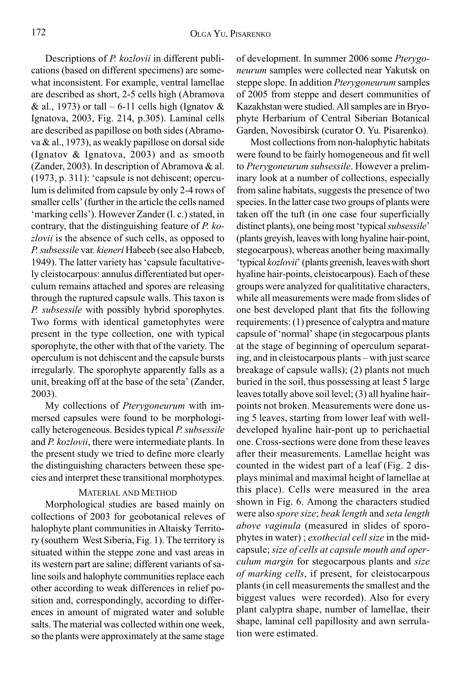Descriptions of *P. kozlovii* in different publications (based on different specimens) are somewhat inconsistent. For example, ventral lamellae are described as short, 2-5 cells high (Abramova & al., 1973) or tall – 6-11 cells high (Ignatov & Ignatova, 2003, Fig. 214, p.305). Laminal cells are described as papillose on both sides (Abramova & al., 1973), as weakly papillose on dorsal side (Ignatov & Ignatova, 2003) and as smooth (Zander, 2003). In description of Abramova & al. (1973, p. 311): 'capsule is not dehiscent; operculum is delimited from capsule by only 2-4 rows of smaller cells' (further in the article the cells named 'marking cells'). However Zander (l. c.) stated, in contrary, that the distinguishing feature of P. kozlovii is the absence of such cells, as opposed to P.subsessile var. kieneri Habeeb (see also Habeeb, 1949). The latter variety has 'capsule facultatively cleistocarpous: annulus differentiated but operculum remains attached and spores are releasing through the ruptured capsule walls. This taxon is P. subsessile with possibly hybrid sporophytes. Two forms with identical gametophytes were present in the type collection, one with typical sporophyte, the other with that of the variety. The operculum is not dehiscent and the capsule bursts irregularly. The sporophyte apparently falls as a unit, breaking off at the base of the seta' (Zander, 2003).

My collections of Pterygoneurum with immersed capsules were found to be morphologically heterogeneous. Besides typical P. subsessile and P. kozlovii, there were intermediate plants. In the present study we tried to define more clearly the distinguishing characters between these species and interpret these transitional morphotypes.

#### MATERIAL AND METHOD

Morphological studies are based mainly on collections of 2003 for geobotanical releves of halophyte plant communities in Altaisky Territory (southern West Siberia, Fig. 1). The territory is situated within the steppe zone and vast areas in its western part are saline; different variants of saline soils and halophyte communities replace each other according to weak differences in relief position and, correspondingly, according to differences in amount of migrated water and soluble salts. The material was collected within one week, so the plants were approximately at the same stage of development. In summer 2006 some Pterygoneurum samples were collected near Yakutsk on steppe slope. In addition Pterygoneurum samples of 2005 from steppe and desert communities of Kazakhstan were studied. All samples are in Bryophyte Herbarium of Central Siberian Botanical Garden, Novosibirsk (curator O. Yu. Pisarenko).

Most collections from non-halophytic habitats were found to be fairly homogeneous and fit well to Pterygoneurum subsessile. However a preliminary look at a number of collections, especially from saline habitats, suggests the presence of two species. In the latter case two groups of plants were taken off the tuft (in one case four superficially distinct plants), one being most 'typical subsessile' (plants greyish, leaves with long hyaline hair-point, stegocarpous), whereas another being maximally 'typical kozlovii' (plants greenish, leaves with short hyaline hair-points, cleistocarpous). Each of these groups were analyzed for qualititative characters, while all measurements were made from slides of one best developed plant that fits the following requirements: (1) presence of calyptra and mature capsule of 'normal' shape (in stegocarpous plants at the stage of beginning of operculum separating, and in cleistocarpous plants – with just scarce breakage of capsule walls); (2) plants not much buried in the soil, thus possessing at least 5 large leaves totally above soil level; (3) all hyaline hairpoints not broken. Measurements were done using 5 leaves, starting from lower leaf with welldeveloped hyaline hair-pont up to perichaetial one. Cross-sections were done from these leaves after their measurements. Lamellae height was counted in the widest part of a leaf (Fig. 2 displays minimal and maximal height of lamellae at this place). Cells were measured in the area shown in Fig. 6. Among the characters studied were also spore size; beak length and seta length above vaginula (measured in slides of sporophytes in water) ; exothecial cell size in the midcapsule; size of cells at capsule mouth and operculum margin for stegocarpous plants and size of marking cells, if present, for cleistocarpous plants (in cell measurements the smallest and the biggest values were recorded). Also for every plant calyptra shape, number of lamellae, their shape, laminal cell papillosity and awn serrulation were estimated.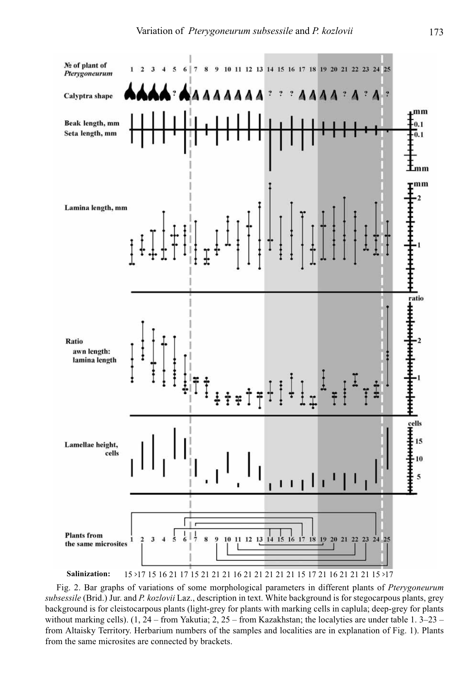

Fig. 2. Bar graphs of variations of some morphological parameters in different plants of Pterygoneurum subsessile (Brid.) Jur. and P. kozlovii Laz., description in text. White background is for stegocarpous plants, grey background is for cleistocarpous plants (light-grey for plants with marking cells in caplula; deep-grey for plants without marking cells). (1, 24 – from Yakutia; 2, 25 – from Kazakhstan; the localyties are under table 1. 3–23 – from Altaisky Territory. Herbarium numbers of the samples and localities are in explanation of Fig. 1). Plants from the same microsites are connected by brackets.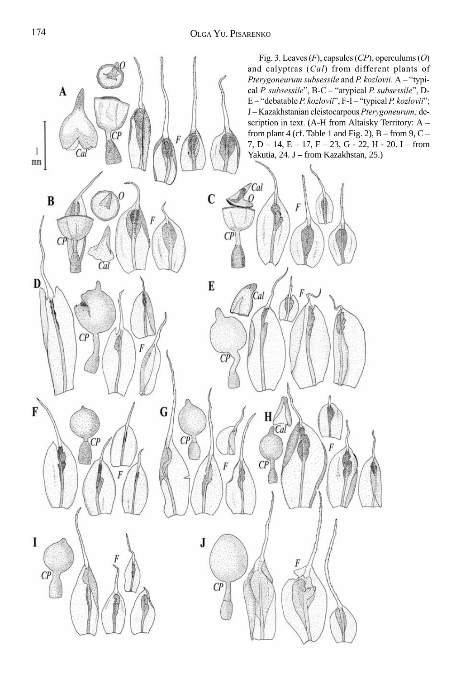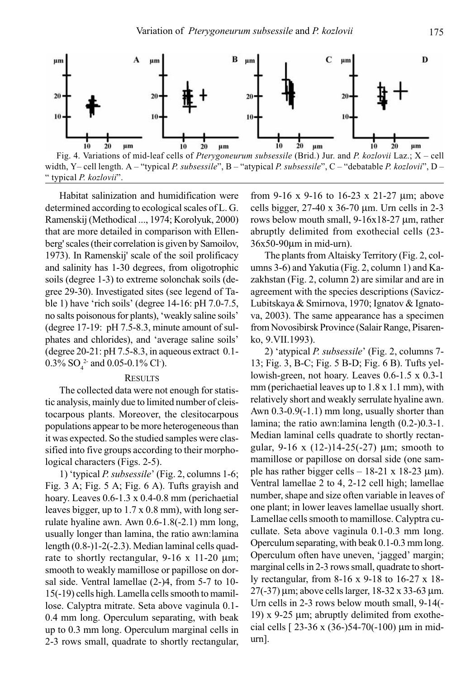

width, Y- cell length. A - "typical P. subsessile", B - "atypical P. subsessile", C - "debatable P. kozlovii", D -" typical P. kozlovii".

Habitat salinization and humidification were determined according to ecological scales of L. G. Ramenskij (Methodical ..., 1974; Korolyuk, 2000) that are more detailed in comparison with Ellenberg' scales (their correlation is given by Samoilov, 1973). In Ramenskij' scale of the soil prolificacy and salinity has 1-30 degrees, from oligotrophic soils (degree 1-3) to extreme solonchak soils (degree 29-30). Investigated sites (see legend of Table 1) have 'rich soils' (degree 14-16: pH 7.0-7.5, no salts poisonous for plants), 'weakly saline soils' (degree 17-19: pH 7.5-8.3, minute amount of sulphates and chlorides), and 'average saline soils' (degree 20-21: pH 7.5-8.3, in aqueous extract 0.1-  $0.3\%$  SO<sub>4</sub><sup>2</sup> and 0.05-0.1% Cl<sup>-</sup>).

#### **RESULTS**

The collected data were not enough for statistic analysis, mainly due to limited number of cleistocarpous plants. Moreover, the clesitocarpous populations appear to be more heterogeneous than it was expected. So the studied samples were classified into five groups according to their morphological characters (Figs. 2-5).

1) 'typical P. subsessile' (Fig. 2, columns 1-6; Fig. 3 A; Fig. 5 A; Fig. 6 A). Tufts grayish and hoary. Leaves 0.6-1.3 x 0.4-0.8 mm (perichaetial leaves bigger, up to 1.7 x 0.8 mm), with long serrulate hyaline awn. Awn 0.6-1.8(-2.1) mm long, usually longer than lamina, the ratio awn:lamina length (0.8-)1-2(-2.3). Median laminal cells quadrate to shortly rectangular,  $9-16 \times 11-20 \mu m$ ; smooth to weakly mamillose or papillose on dorsal side. Ventral lamellae (2-)4, from 5-7 to 10- 15(-19) cells high. Lamella cells smooth to mamillose. Calyptra mitrate. Seta above vaginula 0.1- 0.4 mm long. Operculum separating, with beak up to 0.3 mm long. Operculum marginal cells in 2-3 rows small, quadrate to shortly rectangular, from 9-16 x 9-16 to 16-23 x 21-27 μm; above cells bigger, 27-40 x 36-70 μm. Urn cells in 2-3 rows below mouth small, 9-16х18-27 μm, rather abruptly delimited from exothecial cells (23- 36х50-90μm in mid-urn).

The plants from Altaisky Territory (Fig. 2, columns 3-6) and Yakutia (Fig. 2, column 1) and Kazakhstan (Fig. 2, column 2) are similar and are in agreement with the species descriptions (Savicz-Lubitskaya & Smirnova, 1970; Ignatov & Ignatova, 2003). The same appearance has a specimen from Novosibirsk Province (Salair Range, Pisarenko, 9.VII.1993).

2) 'atypical P. subsessile' (Fig. 2, columns 7- 13; Fig. 3, B-C; Fig. 5 B-D; Fig. 6 B). Tufts yellowish-green, not hoary. Leaves 0.6-1.5 x 0.3-1 mm (perichaetial leaves up to 1.8 x 1.1 mm), with relatively short and weakly serrulate hyaline awn. Awn 0.3-0.9(-1.1) mm long, usually shorter than lamina; the ratio awn:lamina length (0.2-)0.3-1. Median laminal cells quadrate to shortly rectangular,  $9-16 \times (12-)14-25(-27)$  μm; smooth to mamillose or papillose on dorsal side (one sample has rather bigger cells –  $18-21 \times 18-23 \text{ }\mu\text{m}$ ). Ventral lamellae 2 to 4, 2-12 cell high; lamellae number, shape and size often variable in leaves of one plant; in lower leaves lamellae usually short. Lamellae cells smooth to mamillose. Calyptra cucullate. Seta above vaginula 0.1-0.3 mm long. Operculum separating, with beak 0.1-0.3 mm long. Operculum often have uneven, 'jagged' margin; marginal cells in 2-3 rows small, quadrate to shortly rectangular, from 8-16 x 9-18 to 16-27 x 18- 27(-37) μm; above cells larger, 18-32 x 33-63 μm. Urn cells in 2-3 rows below mouth small, 9-14(- 19) х 9-25 μm; abruptly delimited from exothecial cells [ 23-36 х (36-)54-70(-100) μm in midurn].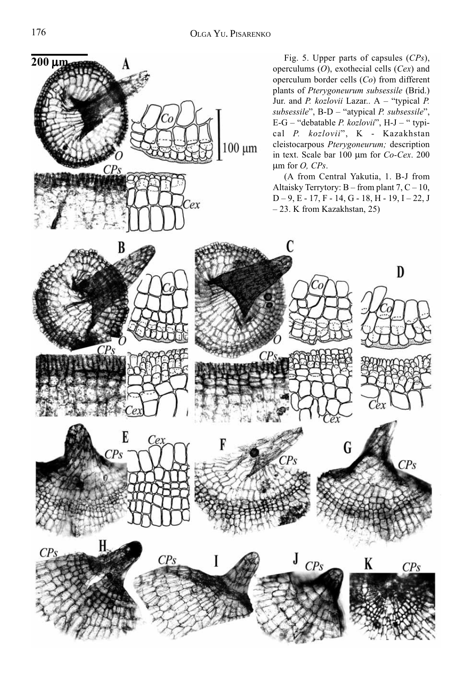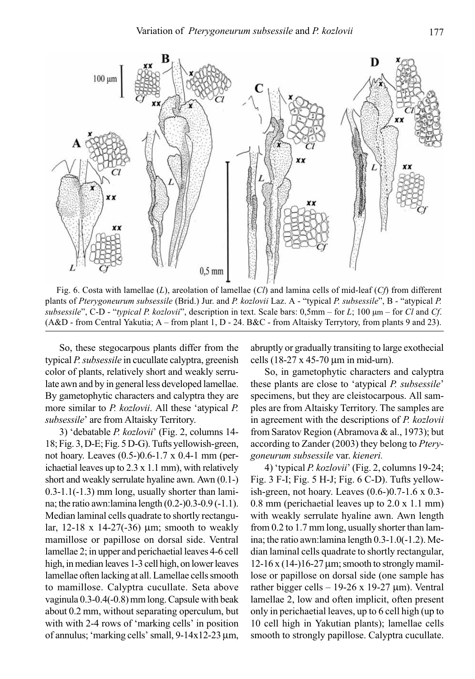

Fig. 6. Costa with lamellae  $(L)$ , areolation of lamellae  $(Cl)$  and lamina cells of mid-leaf  $(Cf)$  from different plants of Pterygoneurum subsessile (Brid.) Jur. and P. kozlovii Laz. A - "typical P. subsessile", B - "atypical P. subsessile", C-D - "typical P. kozlovii", description in text. Scale bars:  $0,5$ mm – for L; 100  $\mu$ m – for Cl and Cf. (A&D - from Central Yakutia; A – from plant 1, D - 24. B&C - from Altaisky Terrytory, from plants 9 and 23).

So, these stegocarpous plants differ from the typical P. subsessile in cucullate calyptra, greenish color of plants, relatively short and weakly serrulate awn and by in general less developed lamellae. By gametophytic characters and calyptra they are more similar to *P. kozlovii*. All these 'atypical *P.* subsessile' are from Altaisky Territory.

3) 'debatable P. kozlovii' (Fig. 2, columns 14- 18; Fig. 3, D-E; Fig. 5 D-G). Tufts yellowish-green, not hoary. Leaves (0.5-)0.6-1.7 x 0.4-1 mm (perichaetial leaves up to 2.3 x 1.1 mm), with relatively short and weakly serrulate hyaline awn. Awn (0.1-) 0.3-1.1(-1.3) mm long, usually shorter than lamina; the ratio awn:lamina length (0.2-)0.3-0.9 (-1.1). Median laminal cells quadrate to shortly rectangular, 12-18 x 14-27(-36) μm; smooth to weakly mamillose or papillose on dorsal side. Ventral lamellae 2; in upper and perichaetial leaves 4-6 cell high, in median leaves 1-3 cell high, on lower leaves lamellae often lacking at all. Lamellae cells smooth to mamillose. Calyptra cucullate. Seta above vaginula 0.3-0.4(-0.8) mm long. Capsule with beak about 0.2 mm, without separating operculum, but with with 2-4 rows of 'marking cells' in position of annulus; 'marking cells' small, 9-14x12-23 μm, abruptly or gradually transiting to large exothecial cells (18-27 x 45-70 μm in mid-urn).

So, in gametophytic characters and calyptra these plants are close to 'atypical P. subsessile' specimens, but they are cleistocarpous. All samples are from Altaisky Territory. The samples are in agreement with the descriptions of P. kozlovii from Saratov Region (Abramova & al., 1973); but according to Zander (2003) they belong to Pterygoneurum subsessile var. kieneri.

4) 'typical P. kozlovii' (Fig. 2, columns 19-24; Fig. 3 F-I; Fig. 5 H-J; Fig. 6 C-D). Tufts yellowish-green, not hoary. Leaves (0.6-)0.7-1.6 x 0.3- 0.8 mm (perichaetial leaves up to 2.0 x 1.1 mm) with weakly serrulate hyaline awn. Awn length from 0.2 to 1.7 mm long, usually shorter than lamina; the ratio awn:lamina length 0.3-1.0(-1.2). Median laminal cells quadrate to shortly rectangular,  $12-16$  x (14-)16-27  $\mu$ m; smooth to strongly mamillose or papillose on dorsal side (one sample has rather bigger cells – 19-26 x 19-27  $\mu$ m). Ventral lamellae 2, low and often implicit, often present only in perichaetial leaves, up to 6 cell high (up to 10 cell high in Yakutian plants); lamellae cells smooth to strongly papillose. Calyptra cucullate.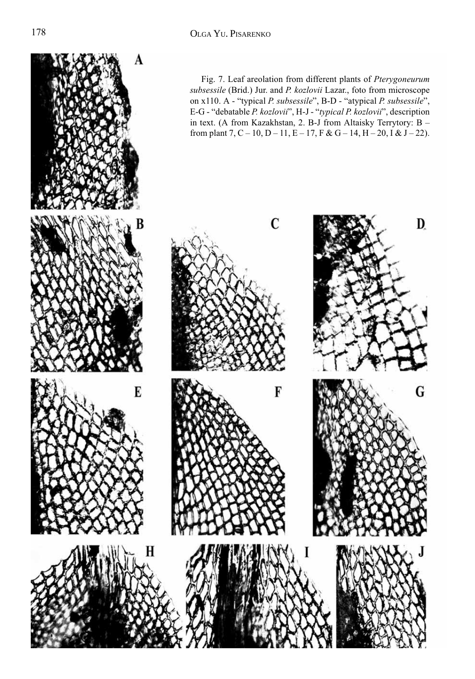



D.

G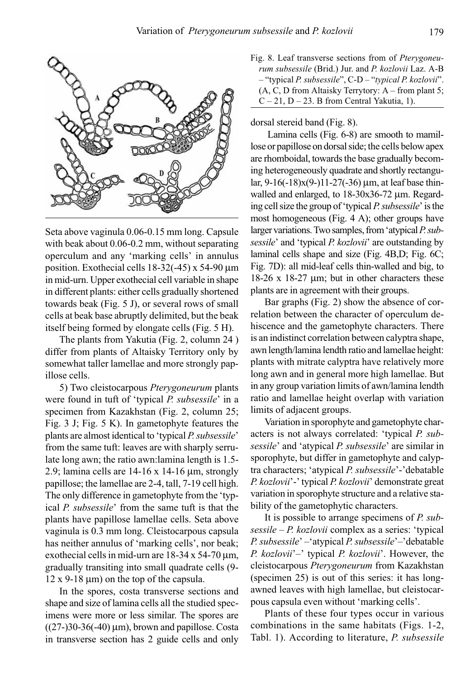

Seta above vaginula 0.06-0.15 mm long. Capsule with beak about 0.06-0.2 mm, without separating operculum and any 'marking cells' in annulus position. Exothecial cells 18-32(-45) x 54-90 μm in mid-urn. Upper exothecial cell variable in shape in different plants: either cells gradually shortened towards beak (Fig. 5 J), or several rows of small cells at beak base abruptly delimited, but the beak itself being formed by elongate cells (Fig. 5 H).

The plants from Yakutia (Fig. 2, column 24 ) differ from plants of Altaisky Territory only by somewhat taller lamellae and more strongly papillose cells.

5) Two cleistocarpous Pterygoneurum plants were found in tuft of 'typical P. subsessile' in a specimen from Kazakhstan (Fig. 2, column 25; Fig. 3 J; Fig. 5 K). In gametophyte features the plants are almost identical to 'typical P. subsessile' from the same tuft: leaves are with sharply serrulate long awn; the ratio awn:lamina length is 1.5- 2.9; lamina cells are  $14-16 \times 14-16 \mu m$ , strongly papillose; the lamellae are 2-4, tall, 7-19 cell high. The only difference in gametophyte from the 'typical P. subsessile' from the same tuft is that the plants have papillose lamellae cells. Seta above vaginula is 0.3 mm long. Cleistocarpous capsula has neither annulus of 'marking cells', nor beak; exothecial cells in mid-urn are 18-34 x 54-70 μm, gradually transiting into small quadrate cells (9- 12 x 9-18 μm) on the top of the capsula.

In the spores, costa transverse sections and shape and size of lamina cells all the studied specimens were more or less similar. The spores are  $((27-)30-36(-40) \,\mu m)$ , brown and papillose. Costa in transverse section has 2 guide cells and only Fig. 8. Leaf transverse sections from of Pterygoneurum subsessile (Brid.) Jur. and P. kozlovii Laz. A-B – "typical P. subsessile", C-D – "typical P. kozlovii". (A, C, D from Altaisky Terrytory: A – from plant 5;  $C - 21$ ,  $D - 23$ . B from Central Yakutia, 1).

dorsal stereid band (Fig. 8).

 Lamina cells (Fig. 6-8) are smooth to mamillose or papillose on dorsal side; the cells below apex are rhomboidal, towards the base gradually becoming heterogeneously quadrate and shortly rectangular, 9-16(-18)x(9-)11-27(-36) μm, at leaf base thinwalled and enlarged, to 18-30x36-72 μm. Regarding cell size the group of 'typical P. subsessile' is the most homogeneous (Fig. 4 A); other groups have larger variations. Two samples, from 'atypical P. subsessile' and 'typical P. kozlovii' are outstanding by laminal cells shape and size (Fig. 4B,D; Fig. 6C; Fig. 7D): all mid-leaf cells thin-walled and big, to 18-26 x 18-27 μm; but in other characters these plants are in agreement with their groups.

Bar graphs (Fig. 2) show the absence of correlation between the character of operculum dehiscence and the gametophyte characters. There is an indistinct correlation between calyptra shape, awn length/lamina lendth ratio and lamellae height: plants with mitrate calyptra have relatively more long awn and in general more high lamellae. But in any group variation limits of awn/lamina lendth ratio and lamellae height overlap with variation limits of adjacent groups.

Variation in sporophyte and gametophyte characters is not always correlated: 'typical P. subsessile' and 'atypical P. subsessile' are similar in sporophyte, but differ in gametophyte and calyptra characters; 'atypical P. subsessile'-'debatable P. kozlovii'-' typical P. kozlovii' demonstrate great variation in sporophyte structure and a relative stability of the gametophytic characters.

It is possible to arrange specimens of P. sub $sessile - P$ . kozlovii complex as a series: 'typical P. subsessile' –'atypical P. subsessile'–'debatable P. kozlovii'-' typical P. kozlovii'. However, the cleistocarpous Pterygoneurum from Kazakhstan (specimen 25) is out of this series: it has longawned leaves with high lamellae, but cleistocarpous capsula even without 'marking cells'.

Plants of these four types occur in various combinations in the same habitats (Figs. 1-2, Tabl. 1). According to literature, P. subsessile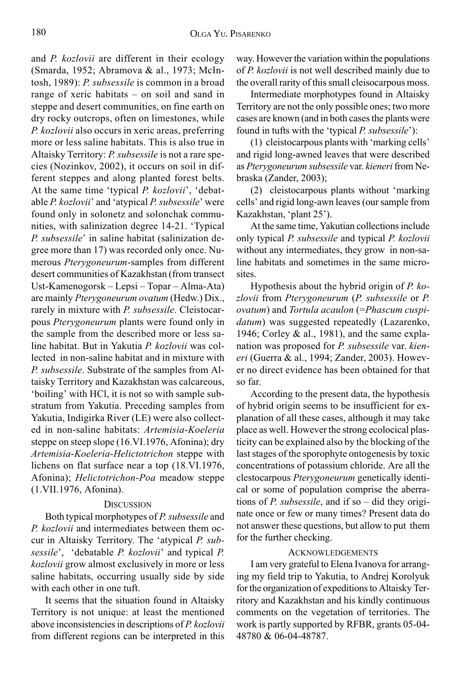and P. kozlovii are different in their ecology (Smarda, 1952; Abramova & al., 1973; McIntosh, 1989): P. subsessile is common in a broad range of xeric habitats – on soil and sand in steppe and desert communities, on fine earth on dry rocky outcrops, often on limestones, while P. kozlovii also occurs in xeric areas, preferring more or less saline habitats. This is also true in Altaisky Territory: P. subsessile is not a rare species (Nozinkov, 2002), it occurs on soil in different steppes and along planted forest belts. At the same time 'typical P. kozlovii', 'debatable P. kozlovii' and 'atypical P. subsessile' were found only in solonetz and solonchak communities, with salinization degree 14-21. 'Typical P. subsessile' in saline habitat (salinization degree more than 17) was recorded only once. Numerous Pterygoneurum-samples from different desert communities of Kazakhstan (from transect Ust-Kamenogorsk – Lepsi – Topar – Alma-Ata) are mainly Pterygoneurum ovatum (Hedw.) Dix., rarely in mixture with P. subsessile. Cleistocarpous Pterygoneurum plants were found only in the sample from the described more or less saline habitat. But in Yakutia P. kozlovii was collected in non-saline habitat and in mixture with P. subsessile. Substrate of the samples from Altaisky Territory and Kazakhstan was calcareous, 'boiling' with HCl, it is not so with sample substratum from Yakutia. Preceding samples from Yakutia, Indigirka River (LE) were also collected in non-saline habitats: Artemisia-Koeleria steppe on steep slope (16.VI.1976, Afonina); dry Artemisia-Koeleria-Helictotrichon steppe with lichens on flat surface near a top (18.VI.1976, Afonina); Helictotrichon-Poa meadow steppe (1.VII.1976, Afonina).

#### **DISCUSSION**

Both typical morphotypes of P. subsessile and P. kozlovii and intermediates between them occur in Altaisky Territory. The 'atypical P. subsessile', 'debatable P. kozlovii' and typical P. kozlovii grow almost exclusively in more or less saline habitats, occurring usually side by side with each other in one tuft.

It seems that the situation found in Altaisky Territory is not unique: at least the mentioned above inconsistencies in descriptions of P. kozlovii from different regions can be interpreted in this

way. However the variation within the populations of P. kozlovii is not well described mainly due to the overall rarity of this small cleisocarpous moss.

Intermediate morphotypes found in Altaisky Territory are not the only possible ones; two more cases are known (and in both cases the plants were found in tufts with the 'typical P. subsessile'):

(1) cleistocarpous plants with 'marking cells' and rigid long-awned leaves that were described as Pterygoneurum subsessile var. kieneri from Nebraska (Zander, 2003);

(2) cleistocarpous plants without 'marking cells' and rigid long-awn leaves (our sample from Kazakhstan, 'plant 25').

At the same time, Yakutian collections include only typical P. subsessile and typical P. kozlovii without any intermediates, they grow in non-saline habitats and sometimes in the same microsites.

Hypothesis about the hybrid origin of P. kozlovii from Pterygoneurum (P. subsessile or P. ovatum) and Tortula acaulon (=Phascum cuspidatum) was suggested repeatedly (Lazarenko, 1946; Corley & al., 1981), and the same explanation was proposed for P. subsessile var. kieneri (Guerra & al., 1994; Zander, 2003). However no direct evidence has been obtained for that so far.

According to the present data, the hypothesis of hybrid origin seems to be insufficient for explanation of all these cases, although it may take place as well. However the strong ecolocical plasticity can be explained also by the blocking of the last stages of the sporophyte ontogenesis by toxic concentrations of potassium chloride. Are all the clestocarpous Pterygoneurum genetically identical or some of population comprise the aberrations of P. subsessile, and if so – did they originate once or few or many times? Present data do not answer these questions, but allow to put them for the further checking.

#### ACKNOWLEDGEMENTS

I am very grateful to Elena Ivanova for arranging my field trip to Yakutia, to Andrej Korolyuk for the organization of expeditions to Altaisky Territory and Kazakhstan and his kindly continuous comments on the vegetation of territories. The work is partly supported by RFBR, grants 05-04- 48780 & 06-04-48787.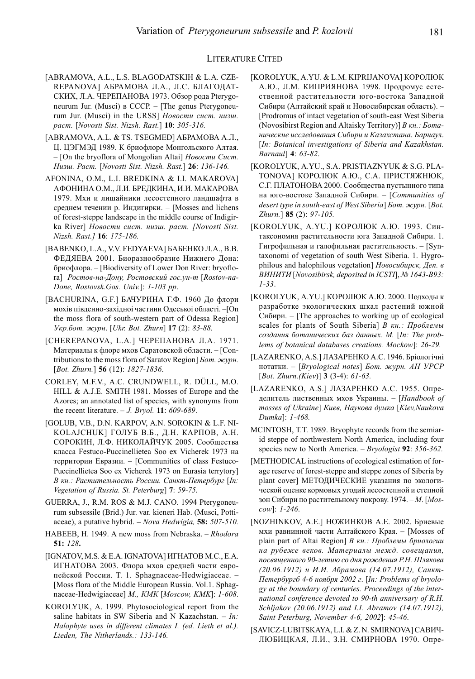#### LITERATURE CITED

- [ABRAMOVA, A.L., L.S. BLAGODATSKIH & L.A. CZE-REPANOVA] АБРАМОВА Л.А., Л.С. БЛАГОДАТ-СКИХ, Л.А. ЧЕРЕПАНОВА 1973. Обзор рода Pterygoneurum Jur. (Musci) в СССР. – [The genus Pterygoneurum Jur. (Musci) in the URSS] Новости сист. низш. раст. [Novosti Sist. Nizsh. Rast.] 10: 305-316.
- [ABRAMOVA, A.L. & TS. TSEGMED] АБРАМОВА А.Л., Ц. ЦЭГМЭД 1989. К бриофлоре Монгольского Алтая. – [On the bryoflora of Mongolian Altai] Новости Сист. Низш. Раст. [Novosti Sist. Nizsh. Rast.] 26: 136-146.
- AFONINA, O.M., L.I. BREDKINA & I.I. MAKAROVA] АФОНИНА О.М., Л.И. БРЕДКИНА, И.И. МАКАРОВА 1979. Мхи и лишайники лесостепного ландшафта в среднем течении р. Индигирки. – [Mosses and lichens of forest-steppe landscape in the middle course of Indigirka River] Новости сист. низш. раст. [Novosti Sist. Nizsh. Rast.] **16**: 175-186.
- [BABENKO, L.A., V.V. FEDYAEVA] БАБЕНКО Л.А., В.В. ФЕДЯЕВА 2001. Биоразнообразие Нижнего Дона: бриофлора. – [Biodiversity of Lower Don River: bryoflora] Ростов-на-Дону, Ростовский гос.ун-т [Rostov-na-Done, Rostovsk.Gos. Univ.]: 1-103 pp.
- [BACHURINA, G.F.] БАЧУРИНА Г.Ф. 1960 До флори мохiв пiвденно-захiдноi частини Одеськоi областi. –[On the moss flora of south-western part of Odessa Region] Укр.бот. журн. [Ukr. Bot. Zhurn] 17 (2): 83-88.
- [CHEREPANOVA, L.A.] ЧЕРЕПАНОВА Л.А. 1971. Материалы к флоре мхов Саратовской области. – [Contributions to the moss flora of Saratov Region]  $\overline{L}$  *bom.* журн. [Bot. Zhurn.] 56 (12): 1827-1836.
- CORLEY, M.F.V., A.C. CRUNDWELL, R. DÜLL, M.O. HILL & A.J.E. SMITH 1981. Mosses of Europe and the Azores; an annotated list of species, with synonyms from the recent literature.  $- J. Bryol.$  11: 609-689.
- [GOLUB, V.B., D.N. KARPOV, A.N. SOROKIN & L.F. NI-KOLAJCHUK] ГОЛУБ В.Б., Д.Н. КАРПОВ, А.Н. СОРОКИН, Л.Ф. НИКОЛАЙЧУК 2005. Сообщества класса Festuco-Puccinellietea Soo ex Vicherek 1973 на территории Евразии. – [Communities of class Festuco-Puccinellietea Soo ex Vicherek 1973 on Eurasia terrytory] В кн.: Растительность России. Санкт-Петербург [In: Vegetation of Russia. St. Peterburg] 7: 59-75.
- GUERRA, J., R.M. ROS & M.J. CANO. 1994 Pterygoneurum subsessile (Brid.) Jur. var. kieneri Hab. (Musci, Pottiaceae), a putative hybrid.  $-$  Nova Hedwigia, 58: 507-510.
- HABEEB, H. 1949. A new moss from Nebraska. Rhodora 51: 128.
- [IGNATOV, M.S. & E.A. IGNATOVA] ИГНАТОВ М.С., Е.А. ИГНАТОВА 2003. Флора мхов средней части европейской России. Т. 1. Sphagnaceae-Hedwigiaceae. – [Moss flora of the Middle European Russia. Vol.1. Sphagnaceae-Hedwigiaceae] М., КМК [Moscow, KMK]: 1-608.
- KOROLYUK, A. 1999. Phytosociological report from the saline habitats in SW Siberia and N Kazachstan. –  $In:$ Halophyte uses in different climates I. (ed. Lieth et al.). Lieden, The Nitherlands.: 133-146.
- [KOROLYUK, A.YU. & L.M. KIPRIJANOVA] КОРОЛЮК А.Ю., Л.М. КИПРИЯНОВА 1998. Продромус естественной растительности юго-востока Западной Сибири (Алтайский край и Новосибирская область). – [Prodromus of intact vegetation of south-east West Siberia (Novosibirst Region and Altaisky Territory)] В кн.: Ботанические исследования Сибири и Казахстана. Барнаул. [In: Botanical investigations of Siberia and Kazakhstan. Barnaul] 4: 63-82.
- [KOROLYUK, A.YU., S.A. PRISTIAZNYUK & S.G. PLA-TONOVA] КОРОЛЮК А.Ю., С.А. ПРИСТЯЖНЮК, С.Г. ПЛАТОНОВА 2000. Сообщества пустынного типа на юго-востоке Западной Сибири. – [Communities of desert type in south-east of West Siberia] Бот. журн. [Bot. Zhurn.] 85 (2): 97-105.
- [KOROLYUK, A.YU.] КОРОЛЮК А.Ю. 1993. Синтаксономия растительности юга Западной Сибири. 1. Гигрофильная и галофильная растительность. – [Syntaxonomi of vegetation of south West Siberia. 1. Hygrophilous and halophilous vegetation] Новосибирск, Деп. в ВИНИТИ [Novosibirsk, deposited in ICSTI], № 1643-В93: 1-33.
- [KOROLYUK, A.YU.] КОРОЛЮК А.Ю. 2000. Подходы к разработке экологических шкал растений южной Сибири. – [The approaches to working up of ecological scales for plants of South Siberia] В кн.: Проблемы создания ботанических баз данных. М. [In: The problems of botanical databases creations. Mockow]: 26-29.
- [LAZARENKO, A.S.] ЛАЗАРЕНКО А.С. 1946. Брiологiчнi нотатки. – [Bryological notes] Бот. журн. АН УРСР [Bot. Zhurn.(Kiev)]  $3(3-4)$ : 61-63.
- [LAZARENKO, A.S.] ЛАЗАРЕНКО А.С. 1955. Определитель лиственных мхов Украины. – [Handbook of mosses of Ukraine] Киев, Наукова думка [Kiev,Naukova Dumka]: 1-468.
- MCINTOSH, T.T. 1989. Bryophyte records from the semiarid steppe of northwestern North America, including four species new to North America. – *Bryologist* 92: 356-362.
- [METHODICAL instructions of ecological estimation of forage reserve of forest-steppe and steppe zones of Siberia by plant cover] МЕТОДИЧЕСКИЕ указания по экологической оценке кормовых угодий лесостепной и степной зон Сибири по растительному покрову. 1974. – М. [Moscow]: 1-246.
- [NOZHINKOV, A.E.] НОЖИНКОВ А.Е. 2002. Бриевые мхи равнинной части Алтайского Края. – [Mosses of plain part of Altai Region] В кн.: Проблемы бриологии на рубеже веков. Материалы межд. совещания, посвященного 90-летию со дня рождения Р.Н. Шлякова (20.06.1912) и И.И. Абрамова (14.07.1912), Санкт-Петербургб 4-6 ноября 2002 г. [In: Problems of bryology at the boundary of centuries. Proceedings of the international conference devoted to 90-th anniversary of R.H. Schljakov (20.06.1912) and I.I. Abramov (14.07.1912), Saint Peterburg, November 4-6, 2002]: 45-46.
- [SAVICZ-LUBITSKAYA, L.I. & Z. N. SMIRNOVA] САВИЧ-ЛЮБИЦКАЯ, Л.И., З.Н. СМИРНОВА 1970. Опре-